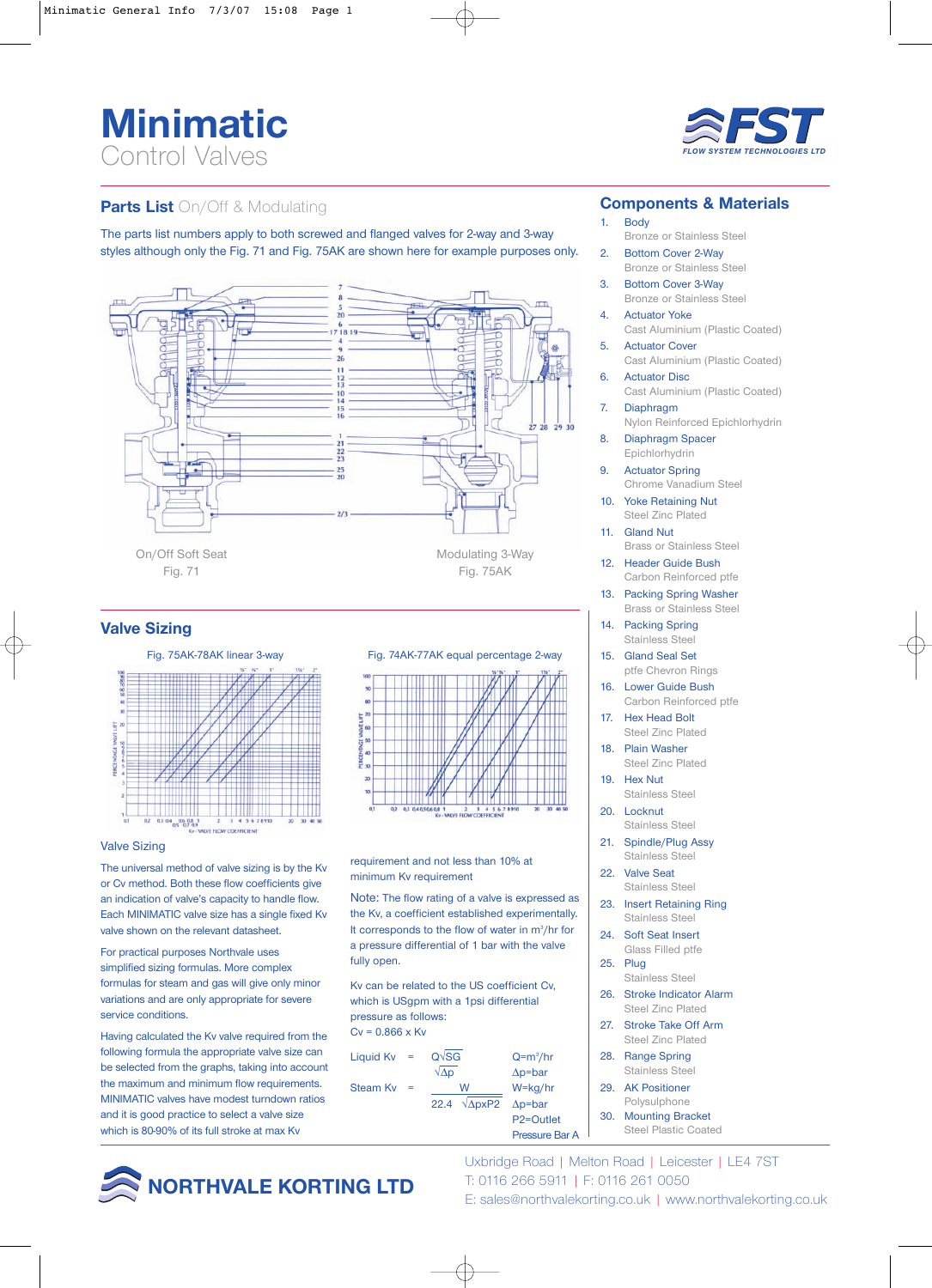# **Minimatic** Control Valves



# **Parts List** On/Off & Modulating

The parts list numbers apply to both screwed and flanged valves for 2-way and 3-way styles although only the Fig. 71 and Fig. 75AK are shown here for example purposes only.



## **Valve Sizing**



#### Valve Sizing

The universal method of valve sizing is by the Kv or Cv method. Both these flow coefficients give an indication of valve's capacity to handle flow. Each MINIMATIC valve size has a single fixed Kv valve shown on the relevant datasheet.

For practical purposes Northvale uses simplified sizing formulas. More complex formulas for steam and gas will give only minor variations and are only appropriate for severe service conditions.

Having calculated the Kv valve required from the following formula the appropriate valve size can be selected from the graphs, taking into account the maximum and minimum flow requirements. MINIMATIC valves have modest turndown ratios and it is good practice to select a valve size which is 80-90% of its full stroke at max Kv





requirement and not less than 10% at minimum Kv requirement

Note: The flow rating of a valve is expressed as the Kv, a coefficient established experimentally. It corresponds to the flow of water in m<sup>3</sup>/hr for a pressure differential of 1 bar with the valve fully open.

Kv can be related to the US coefficient Cv, which is USgpm with a 1psi differential pressure as follows:  $Cv = 0.866$  x Ky

Liquid Kv = 
$$
Q\sqrt{SG}
$$
  $Q=m^3/hr$ 

\nSteam Kv =  $\frac{W}{22.4} \frac{W}{\sqrt{\Delta pxP2}} \frac{W=kg/hr}{\Delta p=bar}$ 

\nP2=Outlet

## **Components & Materials**

### 1. Body

- Bronze or Stainless Steel 2. Bottom Cover 2-Way
- Bronze or Stainless Steel 3. Bottom Cover 3-Way
- Bronze or Stainless Steel 4. Actuator Yoke
- Cast Aluminium (Plastic Coated)
- 5. Actuator Cover Cast Aluminium (Plastic Coated)
- 6. Actuator Disc Cast Aluminium (Plastic Coated) 7. Diaphragm
- Nylon Reinforced Epichlorhydrin
- 8. Diaphragm Spacer Epichlorhydrin
- 9. Actuator Spring Chrome Vanadium Steel
- 10. Yoke Retaining Nut Steel Zinc Plated
- 11. Gland Nut Brass or Stainless Steel
- 12. Header Guide Bush Carbon Reinforced ptfe
- 13. Packing Spring Washer Brass or Stainless Steel
- 14. Packing Spring Stainless Steel
- 15. Gland Seal Set ptfe Chevron Rings
- 16. Lower Guide Bush Carbon Reinforced ptfe
- 17. Hex Head Bolt Steel Zinc Plated
- 18. Plain Washer Steel Zinc Plated
- 19. Hex Nut Stainless Steel
- 20. Locknut Stainless Steel
- 21. Spindle/Plug Assy Stainless Steel
- 22. Valve Seat Stainless Steel
- 23. Insert Retaining Ring Stainless Steel
- 24. Soft Seat Insert
- Glass Filled ptfe 25. Plug Stainless Steel
- 26. Stroke Indicator Alarm Steel Zinc Plated
- 27. Stroke Take Off Arm Steel Zinc Plated
- 28. Range Spring Stainless Steel
- 29. AK Positioner Polysulphone

Pressure Bar A

30. Mounting Bracket Steel Plastic Coated



Uxbridge Road | Melton Road | Leicester | LE4 7ST T: 0116 266 5911 | F: 0116 261 0050 E: sales@northvalekorting.co.uk | www.northvalekorting.co.uk